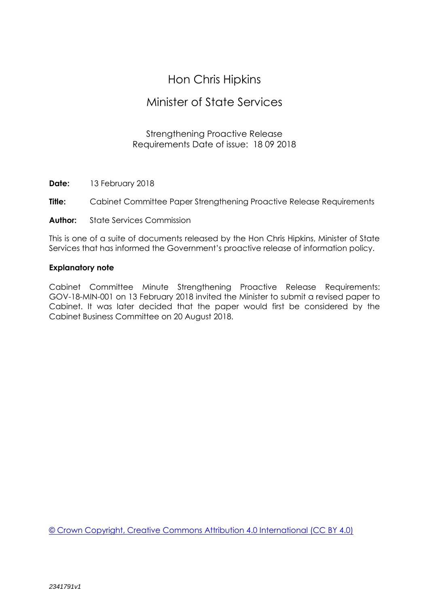# Hon Chris Hipkins

# Minister of State Services

# Strengthening Proactive Release Requirements Date of issue: 18 09 2018

**Date:** 13 February 2018

**Title:** Cabinet Committee Paper Strengthening Proactive Release Requirements

**Author:** State Services Commission

This is one of a suite of documents released by the Hon Chris Hipkins, Minister of State Services that has informed the Government's proactive release of information policy.

## **Explanatory note**

Cabinet Committee Minute Strengthening Proactive Release Requirements: GOV-18-MIN-001 on 13 February 2018 invited the Minister to submit a revised paper to Cabinet. It was later decided that the paper would first be considered by the Cabinet Business Committee on 20 August 2018.

[© Crown Copyright, Creative Commons Attribution 4.0 International \(CC BY 4.0\)](https://creativecommons.org/licenses/by/4.0/)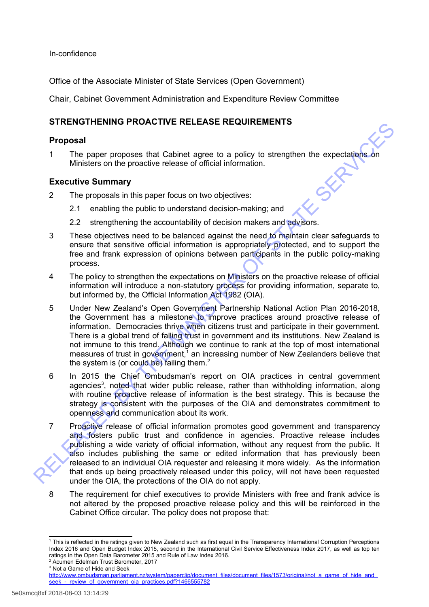In-confidence

Office of the Associate Minister of State Services (Open Government)

Chair, Cabinet Government Administration and Expenditure Review Committee

# **STRENGTHENING PROACTIVE RELEASE REQUIREMENTS**

### **Proposal**

1 The paper proposes that Cabinet agree to a policy to strengthen the expectations on Ministers on the proactive release of official information.

## **Executive Summary**

- 2 The proposals in this paper focus on two objectives:
	- 2.1 enabling the public to understand decision-making; and
	- 2.2 strengthening the accountability of decision makers and advisors.
- 3 These objectives need to be balanced against the need to maintain clear safeguards to ensure that sensitive official information is appropriately protected, and to support the free and frank expression of opinions between participants in the public policy-making process.
- 4 The policy to strengthen the expectations on Ministers on the proactive release of official information will introduce a non-statutory process for providing information, separate to, but informed by, the Official Information Act 1982 (OIA).
- 5 Under New Zealand's Open Government Partnership National Action Plan 2016-2018, the Government has a milestone to improve practices around proactive release of information. Democracies thrive when citizens trust and participate in their government. There is a global trend of falling trust in government and its institutions. New Zealand is not immune to this trend. Although we continue to rank at the top of most international measures of trust in government,<sup>1</sup> an increasing number of New Zealanders believe that the system is (or could be) failing them. $<sup>2</sup>$ </sup> The particle of the particle of the control of the particle of the particle of the particle of the particle of the particle of the particle of the particle of the particle of the particle of the particle of the particle of
	- 6 In 2015 the Chief Ombudsman's report on OIA practices in central government agencies<sup>3</sup>, noted that wider public release, rather than withholding information, along with routine proactive release of information is the best strategy. This is because the strategy is consistent with the purposes of the OIA and demonstrates commitment to openness and communication about its work.
	- 7 Proactive release of official information promotes good government and transparency and fosters public trust and confidence in agencies. Proactive release includes publishing a wide variety of official information, without any request from the public. It also includes publishing the same or edited information that has previously been released to an individual OIA requester and releasing it more widely. As the information that ends up being proactively released under this policy, will not have been requested under the OIA, the protections of the OIA do not apply.
	- 8 The requirement for chief executives to provide Ministers with free and frank advice is not altered by the proposed proactive release policy and this will be reinforced in the Cabinet Office circular. The policy does not propose that:

<span id="page-1-1"></span><sup>2</sup> Acumen Edelman Trust Barometer, 2017

<span id="page-1-0"></span><sup>1</sup> This is reflected in the ratings given to New Zealand such as first equal in the Transparency International Corruption Perceptions Index 2016 and Open Budget Index 2015, second in the International Civil Service Effectiveness Index 2017, as well as top ten ratings in the Open Data Barometer 2015 and Rule of Law Index 2016.

<span id="page-1-2"></span><sup>3</sup> Not a Game of Hide and Seek

[http://www.ombudsman.parliament.nz/system/paperclip/document\\_files/document\\_files/1573/original/not\\_a\\_game\\_of\\_hide\\_and\\_](http://www.ombudsman.parliament.nz/system/paperclip/document_files/document_files/1573/original/not_a_game_of_hide_and_seek_-_review_of_government_oia_practices.pdf?1466555782) seek - review of government oia practices.pdf?1466555782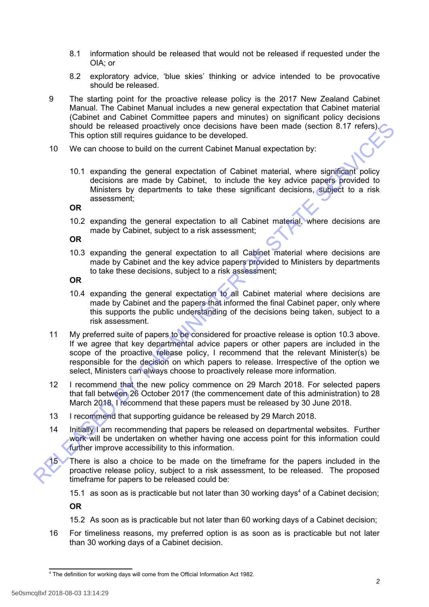- 8.1 information should be released that would not be released if requested under the OIA; or
- 8.2 exploratory advice, 'blue skies' thinking or advice intended to be provocative should be released.
- 9 The starting point for the proactive release policy is the 2017 New Zealand Cabinet Manual. The Cabinet Manual includes a new general expectation that Cabinet material (Cabinet and Cabinet Committee papers and minutes) on significant policy decisions should be released proactively once decisions have been made (section 8.17 refers). This option still requires guidance to be developed.
- 10 We can choose to build on the current Cabinet Manual expectation by:
	- 10.1 expanding the general expectation of Cabinet material, where significant policy decisions are made by Cabinet, to include the key advice papers provided to Ministers by departments to take these significant decisions, subject to a risk assessment;

**OR**

10.2 expanding the general expectation to all Cabinet material, where decisions are made by Cabinet, subject to a risk assessment;

**OR**

10.3 expanding the general expectation to all Cabinet material where decisions are made by Cabinet and the key advice papers provided to Ministers by departments to take these decisions, subject to a risk assessment;

**OR**

- 10.4 expanding the general expectation to all Cabinet material where decisions are made by Cabinet and the papers that informed the final Cabinet paper, only where this supports the public understanding of the decisions being taken, subject to a risk assessment.
- 11 My preferred suite of papers to be considered for proactive release is option 10.3 above. If we agree that key departmental advice papers or other papers are included in the scope of the proactive release policy. I recommend that the relevant Minister(s) be responsible for the decision on which papers to release. Irrespective of the option we select, Ministers can always choose to proactively release more information. Should be released proactively once decisions have been made (section 8.17 refersions the release of procedure decisions are made (section 8.17 refersions are made by calibrate the developed.<br>
10. We can choose to build on
	- 12 I recommend that the new policy commence on 29 March 2018. For selected papers that fall between 26 October 2017 (the commencement date of this administration) to 28 March 2018. I recommend that these papers must be released by 30 June 2018.
	- 13 I recommend that supporting guidance be released by 29 March 2018.
	- 14 Initially I am recommending that papers be released on departmental websites. Further work will be undertaken on whether having one access point for this information could further improve accessibility to this information.

15 There is also a choice to be made on the timeframe for the papers included in the proactive release policy, subject to a risk assessment, to be released. The proposed timeframe for papers to be released could be:

15.1 as soon as is practicable but not later than 30 working days<sup>[4](#page-2-0)</sup> of a Cabinet decision;

**OR**

- 15.2 As soon as is practicable but not later than 60 working days of a Cabinet decision;
- 16 For timeliness reasons, my preferred option is as soon as is practicable but not later than 30 working days of a Cabinet decision.

<span id="page-2-0"></span><sup>4</sup> The definition for working days will come from the Official Information Act 1982.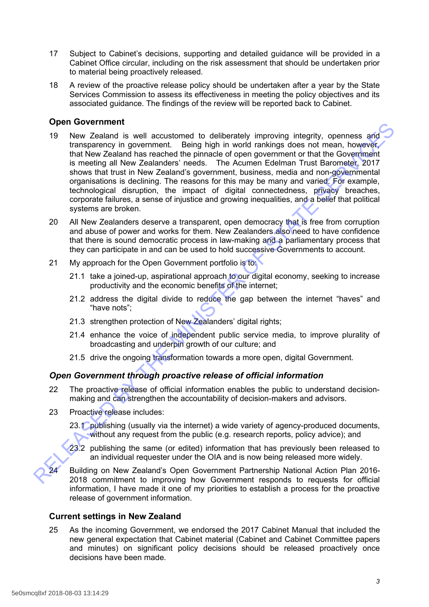- 17 Subject to Cabinet's decisions, supporting and detailed guidance will be provided in a Cabinet Office circular, including on the risk assessment that should be undertaken prior to material being proactively released.
- 18 A review of the proactive release policy should be undertaken after a year by the State Services Commission to assess its effectiveness in meeting the policy objectives and its associated guidance. The findings of the review will be reported back to Cabinet.

# **Open Government**

- 19 New Zealand is well accustomed to deliberately improving integrity, openness and transparency in government. Being high in world rankings does not mean, however, that New Zealand has reached the pinnacle of open government or that the Government is meeting all New Zealanders' needs. The Acumen Edelman Trust Barometer, 2017 shows that trust in New Zealand's government, business, media and non-governmental organisations is declining. The reasons for this may be many and varied. For example, technological disruption, the impact of digital connectedness, privacy breaches, corporate failures, a sense of injustice and growing inequalities, and a belief that political systems are broken. For Covernment and to deliberately improving integrity, openness and<br>transparent being his no word rankings does not mean, however,<br>that hely results are the solution and the solution of the solution of<br>that New Zealand ha
	- 20 All New Zealanders deserve a transparent, open democracy that is free from corruption and abuse of power and works for them. New Zealanders also need to have confidence that there is sound democratic process in law-making and a parliamentary process that they can participate in and can be used to hold successive Governments to account.
	- 21 My approach for the Open Government portfolio is to:
		- 21.1 take a joined-up, aspirational approach to our digital economy, seeking to increase productivity and the economic benefits of the internet;
		- 21.2 address the digital divide to reduce the gap between the internet "haves" and "have nots";
		- 21.3 strengthen protection of New Zealanders' digital rights;
		- 21.4 enhance the voice of independent public service media, to improve plurality of broadcasting and underpin growth of our culture; and
		- 21.5 drive the ongoing transformation towards a more open, digital Government.

# *Open Government through proactive release of official information*

- 22 The proactive release of official information enables the public to understand decisionmaking and can strengthen the accountability of decision-makers and advisors.
- 23 Proactive release includes:
	- 23.1 publishing (usually via the internet) a wide variety of agency-produced documents, without any request from the public (e.g. research reports, policy advice); and
	- 23.2 publishing the same (or edited) information that has previously been released to an individual requester under the OIA and is now being released more widely.

24 Building on New Zealand's Open Government Partnership National Action Plan 2016- 2018 commitment to improving how Government responds to requests for official information, I have made it one of my priorities to establish a process for the proactive release of government information.

### **Current settings in New Zealand**

25 As the incoming Government, we endorsed the 2017 Cabinet Manual that included the new general expectation that Cabinet material (Cabinet and Cabinet Committee papers and minutes) on significant policy decisions should be released proactively once decisions have been made.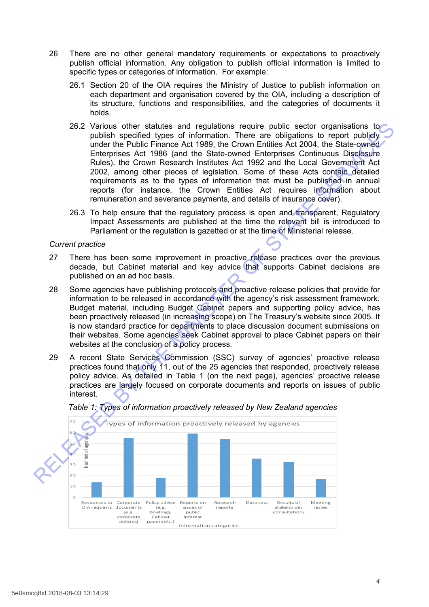- 26 There are no other general mandatory requirements or expectations to proactively publish official information. Any obligation to publish official information is limited to specific types or categories of information. For example:
	- 26.1 Section 20 of the OIA requires the Ministry of Justice to publish information on each department and organisation covered by the OIA, including a description of its structure, functions and responsibilities, and the categories of documents it holds.
- 26.2 Various other statutes and regulations require public sector organisations to publish specified types of information. There are obligations to report publicly under the Public Finance Act 1989, the Crown Entities Act 2004, the State-owned Enterprises Act 1986 (and the State-owned Enterprises Continuous Disclosure Rules), the Crown Research Institutes Act 1992 and the Local Government Act 2002, among other pieces of legislation. Some of these Acts contain detailed requirements as to the types of information that must be published in annual reports (for instance, the Crown Entities Act requires information about remuneration and severance payments, and details of insurance cover). 26.2 Various of the tablets and regulations require publishes accomover of the publish specified types of information. There are obligations to epont publishy<br>undits his conserved for the State of the State ower Entitles A
	- 26.3 To help ensure that the regulatory process is open and transparent, Regulatory Impact Assessments are published at the time the relevant bill is introduced to Parliament or the regulation is gazetted or at the time of Ministerial release.

#### *Current practice*

- 27 There has been some improvement in proactive release practices over the previous decade, but Cabinet material and key advice that supports Cabinet decisions are published on an ad hoc basis.
- 28 Some agencies have publishing protocols and proactive release policies that provide for information to be released in accordance with the agency's risk assessment framework. Budget material, including Budget Cabinet papers and supporting policy advice, has been proactively released (in increasing scope) on The Treasury's website since 2005. It is now standard practice for departments to place discussion document submissions on their websites. Some agencies seek Cabinet approval to place Cabinet papers on their websites at the conclusion of a policy process.
- 29 A recent State Services Commission (SSC) survey of agencies' proactive release practices found that only 11, out of the 25 agencies that responded, proactively release policy advice. As detailed in Table 1 (on the next page), agencies' proactive release practices are largely focused on corporate documents and reports on issues of public interest.



#### *Table 1: Types of information proactively released by New Zealand agencies*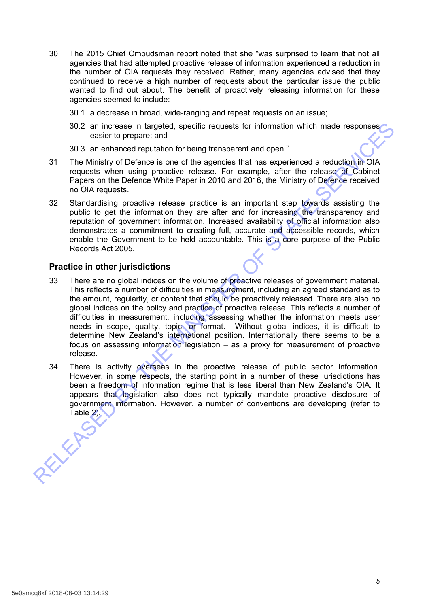- 30 The 2015 Chief Ombudsman report noted that she "was surprised to learn that not all agencies that had attempted proactive release of information experienced a reduction in the number of OIA requests they received. Rather, many agencies advised that they continued to receive a high number of requests about the particular issue the public wanted to find out about. The benefit of proactively releasing information for these agencies seemed to include:
	- 30.1 a decrease in broad, wide-ranging and repeat requests on an issue;
	- 30.2 an increase in targeted, specific requests for information which made responses easier to prepare; and
	- 30.3 an enhanced reputation for being transparent and open."
- 31 The Ministry of Defence is one of the agencies that has experienced a reduction in OIA requests when using proactive release. For example, after the release of Cabinet Papers on the Defence White Paper in 2010 and 2016, the Ministry of Defence received no OIA requests.
- 32 Standardising proactive release practice is an important step towards assisting the public to get the information they are after and for increasing the transparency and reputation of government information. Increased availability of official information also demonstrates a commitment to creating full, accurate and accessible records, which enable the Government to be held accountable. This is a core purpose of the Public Records Act 2005.

### **Practice in other jurisdictions**

- 33 There are no global indices on the volume of proactive releases of government material. This reflects a number of difficulties in measurement, including an agreed standard as to the amount, regularity, or content that should be proactively released. There are also no global indices on the policy and practice of proactive release. This reflects a number of difficulties in measurement, including assessing whether the information meets user needs in scope, quality, topic, or format. Without global indices, it is difficult to determine New Zealand's international position. Internationally there seems to be a focus on assessing information legislation – as a proxy for measurement of proactive release. S0.2 an increase in targeted, specific requests for information which made responses<br>
assier to prepare; and<br>
30.3 an enhanced reputation for being transparent and open."<br>
31 The Ministry of Defence is one of the agencies
	- 34 There is activity overseas in the proactive release of public sector information. However, in some respects, the starting point in a number of these jurisdictions has been a freedom of information regime that is less liberal than New Zealand's OIA. It appears that legislation also does not typically mandate proactive disclosure of government information. However, a number of conventions are developing (refer to Table 2).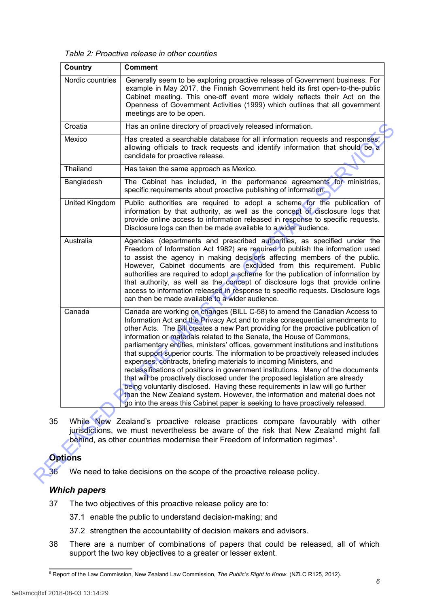*Table 2: Proactive release in other counties*

| Country          | <b>Comment</b>                                                                                                                                                                                                                                                                                                                                                                                                                                                                                                                                                                                                                                                                                                                                                                                                                                                                                                                                                                                   |  |  |  |  |  |
|------------------|--------------------------------------------------------------------------------------------------------------------------------------------------------------------------------------------------------------------------------------------------------------------------------------------------------------------------------------------------------------------------------------------------------------------------------------------------------------------------------------------------------------------------------------------------------------------------------------------------------------------------------------------------------------------------------------------------------------------------------------------------------------------------------------------------------------------------------------------------------------------------------------------------------------------------------------------------------------------------------------------------|--|--|--|--|--|
| Nordic countries | Generally seem to be exploring proactive release of Government business. For<br>example in May 2017, the Finnish Government held its first open-to-the-public<br>Cabinet meeting. This one-off event more widely reflects their Act on the<br>Openness of Government Activities (1999) which outlines that all government<br>meetings are to be open.                                                                                                                                                                                                                                                                                                                                                                                                                                                                                                                                                                                                                                            |  |  |  |  |  |
| Croatia          | Has an online directory of proactively released information.                                                                                                                                                                                                                                                                                                                                                                                                                                                                                                                                                                                                                                                                                                                                                                                                                                                                                                                                     |  |  |  |  |  |
| Mexico           | Has created a searchable database for all information requests and responses,<br>allowing officials to track requests and identify information that should be a<br>candidate for proactive release.                                                                                                                                                                                                                                                                                                                                                                                                                                                                                                                                                                                                                                                                                                                                                                                              |  |  |  |  |  |
| Thailand         | Has taken the same approach as Mexico.                                                                                                                                                                                                                                                                                                                                                                                                                                                                                                                                                                                                                                                                                                                                                                                                                                                                                                                                                           |  |  |  |  |  |
| Bangladesh       | The Cabinet has included, in the performance agreements for ministries,<br>specific requirements about proactive publishing of information.                                                                                                                                                                                                                                                                                                                                                                                                                                                                                                                                                                                                                                                                                                                                                                                                                                                      |  |  |  |  |  |
| United Kingdom   | Public authorities are required to adopt a scheme for the publication of<br>information by that authority, as well as the concept of disclosure logs that<br>provide online access to information released in response to specific requests.<br>Disclosure logs can then be made available to a wider audience.                                                                                                                                                                                                                                                                                                                                                                                                                                                                                                                                                                                                                                                                                  |  |  |  |  |  |
| Australia        | Agencies (departments and prescribed authorities, as specified under the<br>Freedom of Information Act 1982) are required to publish the information used<br>to assist the agency in making decisions affecting members of the public.<br>However, Cabinet documents are excluded from this requirement. Public<br>authorities are required to adopt a scheme for the publication of information by<br>that authority, as well as the concept of disclosure logs that provide online<br>access to information released in response to specific requests. Disclosure logs<br>can then be made available to a wider audience.                                                                                                                                                                                                                                                                                                                                                                      |  |  |  |  |  |
| Canada           | Canada are working on changes (BILL C-58) to amend the Canadian Access to<br>Information Act and the Privacy Act and to make consequential amendments to<br>other Acts. The Bill creates a new Part providing for the proactive publication of<br>information or materials related to the Senate, the House of Commons,<br>parliamentary entities, ministers' offices, government institutions and institutions<br>that support superior courts. The information to be proactively released includes<br>expenses, contracts, briefing materials to incoming Ministers, and<br>reclassifications of positions in government institutions. Many of the documents<br>that will be proactively disclosed under the proposed legislation are already<br>being voluntarily disclosed. Having these requirements in law will go further<br>than the New Zealand system. However, the information and material does not<br>go into the areas this Cabinet paper is seeking to have proactively released. |  |  |  |  |  |
|                  | While New Zealand's proactive release practices compare favourably with other<br>jurisdictions, we must nevertheless be aware of the risk that New Zealand might fall<br>behind, as other countries modernise their Freedom of Information regimes <sup>5</sup> .                                                                                                                                                                                                                                                                                                                                                                                                                                                                                                                                                                                                                                                                                                                                |  |  |  |  |  |
|                  |                                                                                                                                                                                                                                                                                                                                                                                                                                                                                                                                                                                                                                                                                                                                                                                                                                                                                                                                                                                                  |  |  |  |  |  |
| <b>Options</b>   |                                                                                                                                                                                                                                                                                                                                                                                                                                                                                                                                                                                                                                                                                                                                                                                                                                                                                                                                                                                                  |  |  |  |  |  |

# **Options**

# *Which papers*

- 37 The two objectives of this proactive release policy are to:
	- 37.1 enable the public to understand decision-making; and
	- 37.2 strengthen the accountability of decision makers and advisors.
- 38 There are a number of combinations of papers that could be released, all of which support the two key objectives to a greater or lesser extent.

<span id="page-6-0"></span><sup>5</sup> Report of the Law Commission, New Zealand Law Commission, *The Public's Right to Know*. (NZLC R125, 2012).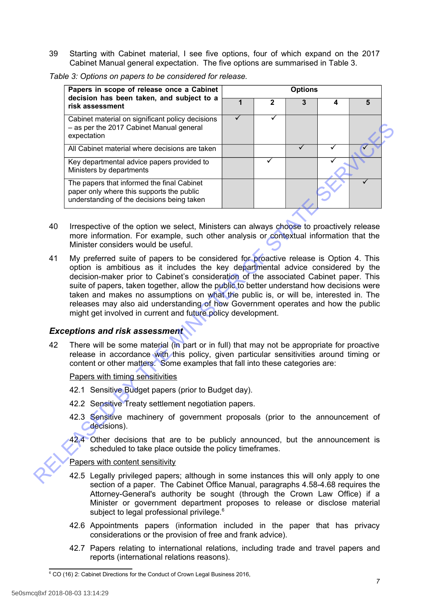39 Starting with Cabinet material, I see five options, four of which expand on the 2017 Cabinet Manual general expectation. The five options are summarised in Table 3.

|    | Papers in scope of release once a Cabinet                                                                                                                                                                                                                                                                                                                                                                                                                                                                                                                                                                    |   | <b>Options</b> |              |   |   |  |  |  |
|----|--------------------------------------------------------------------------------------------------------------------------------------------------------------------------------------------------------------------------------------------------------------------------------------------------------------------------------------------------------------------------------------------------------------------------------------------------------------------------------------------------------------------------------------------------------------------------------------------------------------|---|----------------|--------------|---|---|--|--|--|
|    | decision has been taken, and subject to a<br>risk assessment                                                                                                                                                                                                                                                                                                                                                                                                                                                                                                                                                 | 1 | $\mathbf 2$    | $\mathbf{3}$ | 4 | 5 |  |  |  |
|    | Cabinet material on significant policy decisions<br>- as per the 2017 Cabinet Manual general<br>expectation                                                                                                                                                                                                                                                                                                                                                                                                                                                                                                  | ✓ | ✓              |              |   |   |  |  |  |
|    | All Cabinet material where decisions are taken                                                                                                                                                                                                                                                                                                                                                                                                                                                                                                                                                               |   |                | ✓            | ✓ |   |  |  |  |
|    | Key departmental advice papers provided to<br>Ministers by departments                                                                                                                                                                                                                                                                                                                                                                                                                                                                                                                                       |   |                |              |   |   |  |  |  |
|    | The papers that informed the final Cabinet<br>paper only where this supports the public<br>understanding of the decisions being taken                                                                                                                                                                                                                                                                                                                                                                                                                                                                        |   |                |              |   |   |  |  |  |
| 40 | Irrespective of the option we select, Ministers can always choose to proactively release<br>more information. For example, such other analysis or contextual information that the<br>Minister considers would be useful.                                                                                                                                                                                                                                                                                                                                                                                     |   |                |              |   |   |  |  |  |
| 41 | My preferred suite of papers to be considered for proactive release is Option 4. This<br>option is ambitious as it includes the key departmental advice considered by the<br>decision-maker prior to Cabinet's consideration of the associated Cabinet paper. This<br>suite of papers, taken together, allow the public to better understand how decisions were<br>taken and makes no assumptions on what the public is, or will be, interested in. The<br>releases may also aid understanding of how Government operates and how the public<br>might get involved in current and future policy development. |   |                |              |   |   |  |  |  |
|    | <b>Exceptions and risk assessment</b>                                                                                                                                                                                                                                                                                                                                                                                                                                                                                                                                                                        |   |                |              |   |   |  |  |  |
| 42 | There will be some material (in part or in full) that may not be appropriate for proactive<br>release in accordance with this policy, given particular sensitivities around timing or<br>content or other matters. Some examples that fall into these categories are:                                                                                                                                                                                                                                                                                                                                        |   |                |              |   |   |  |  |  |
|    | Papers with timing sensitivities                                                                                                                                                                                                                                                                                                                                                                                                                                                                                                                                                                             |   |                |              |   |   |  |  |  |
|    | 42.1 Sensitive Budget papers (prior to Budget day).                                                                                                                                                                                                                                                                                                                                                                                                                                                                                                                                                          |   |                |              |   |   |  |  |  |
|    | 42.2 Sensitive Treaty settlement negotiation papers.                                                                                                                                                                                                                                                                                                                                                                                                                                                                                                                                                         |   |                |              |   |   |  |  |  |
|    | 42.3 Sensitive machinery of government proposals (prior to the announcement of<br>decisions).                                                                                                                                                                                                                                                                                                                                                                                                                                                                                                                |   |                |              |   |   |  |  |  |
|    | 42.4 Other decisions that are to be publicly announced, but the announcement is<br>scheduled to take place outside the policy timeframes.                                                                                                                                                                                                                                                                                                                                                                                                                                                                    |   |                |              |   |   |  |  |  |
|    | Papers with content sensitivity                                                                                                                                                                                                                                                                                                                                                                                                                                                                                                                                                                              |   |                |              |   |   |  |  |  |
|    | 42.5 Legally privileged papers; although in some instances this will only apply to one                                                                                                                                                                                                                                                                                                                                                                                                                                                                                                                       |   |                |              |   |   |  |  |  |

*Table 3: Options on papers to be considered for release.*

- 40 Irrespective of the option we select, Ministers can always choose to proactively release more information. For example, such other analysis or contextual information that the Minister considers would be useful.
- 41 My preferred suite of papers to be considered for proactive release is Option 4. This option is ambitious as it includes the key departmental advice considered by the decision-maker prior to Cabinet's consideration of the associated Cabinet paper. This suite of papers, taken together, allow the public to better understand how decisions were taken and makes no assumptions on what the public is, or will be, interested in. The releases may also aid understanding of how Government operates and how the public might get involved in current and future policy development.

## *Exceptions and risk assessment*

- 42.1 Sensitive Budget papers (prior to Budget day).
- 42.2 Sensitive Treaty settlement negotiation papers.
- 42.3 Sensitive machinery of government proposals (prior to the announcement of **C**decisions).
- 42.4 Other decisions that are to be publicly announced, but the announcement is scheduled to take place outside the policy timeframes.

- 42.5 Legally privileged papers; although in some instances this will only apply to one section of a paper. The Cabinet Office Manual, paragraphs 4.58-4.68 requires the Attorney-General's authority be sought (through the Crown Law Office) if a Minister or government department proposes to release or disclose material subject to legal professional privilege.<sup>[6](#page-7-0)</sup>
- 42.6 Appointments papers (information included in the paper that has privacy considerations or the provision of free and frank advice).
- 42.7 Papers relating to international relations, including trade and travel papers and reports (international relations reasons).

<span id="page-7-0"></span><sup>&</sup>lt;sup>6</sup> CO (16) 2: Cabinet Directions for the Conduct of Crown Legal Business 2016,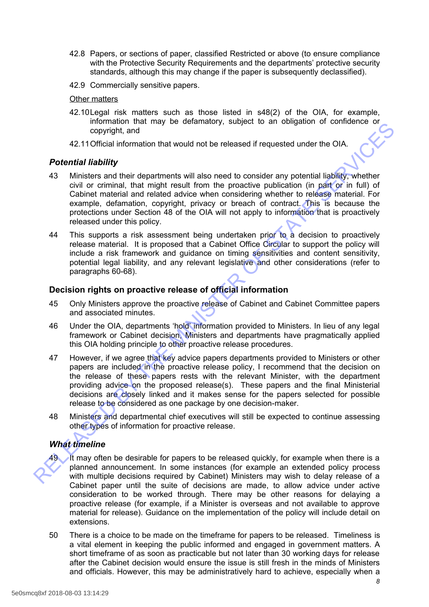- 42.8 Papers, or sections of paper, classified Restricted or above (to ensure compliance with the Protective Security Requirements and the departments' protective security standards, although this may change if the paper is subsequently declassified).
- 42.9 Commercially sensitive papers.

#### Other matters

- 42.10Legal risk matters such as those listed in s48(2) of the OIA, for example, information that may be defamatory, subject to an obligation of confidence or copyright, and
- 42.11Official information that would not be released if requested under the OIA.

#### *Potential liability*

- 43 Ministers and their departments will also need to consider any potential liability, whether civil or criminal, that might result from the proactive publication (in part or in full) of Cabinet material and related advice when considering whether to release material. For example, defamation, copyright, privacy or breach of contract. This is because the protections under Section 48 of the OIA will not apply to information that is proactively released under this policy.
- 44 This supports a risk assessment being undertaken prior to a decision to proactively release material. It is proposed that a Cabinet Office Circular to support the policy will include a risk framework and guidance on timing sensitivities and content sensitivity, potential legal liability, and any relevant legislative and other considerations (refer to paragraphs 60-68).

### **Decision rights on proactive release of official information**

- 45 Only Ministers approve the proactive release of Cabinet and Cabinet Committee papers and associated minutes.
- 46 Under the OIA, departments 'hold' information provided to Ministers. In lieu of any legal framework or Cabinet decision, Ministers and departments have pragmatically applied this OIA holding principle to other proactive release procedures.
- 47 However, if we agree that key advice papers departments provided to Ministers or other papers are included in the proactive release policy, I recommend that the decision on the release of these papers rests with the relevant Minister, with the department providing advice on the proposed release(s). These papers and the final Ministerial decisions are closely linked and it makes sense for the papers selected for possible release to be considered as one package by one decision-maker. information in arring to electromate the season of control in the decision of the season of the season of the season of the season of the scatter of the scatter and their departments will also need to consider any potentia
	- 48 Ministers and departmental chief executives will still be expected to continue assessing other types of information for proactive release.

# *What timeline*



It may often be desirable for papers to be released quickly, for example when there is a planned announcement. In some instances (for example an extended policy process with multiple decisions required by Cabinet) Ministers may wish to delay release of a Cabinet paper until the suite of decisions are made, to allow advice under active consideration to be worked through. There may be other reasons for delaying a proactive release (for example, if a Minister is overseas and not available to approve material for release). Guidance on the implementation of the policy will include detail on extensions.

50 There is a choice to be made on the timeframe for papers to be released. Timeliness is a vital element in keeping the public informed and engaged in government matters. A short timeframe of as soon as practicable but not later than 30 working days for release after the Cabinet decision would ensure the issue is still fresh in the minds of Ministers and officials. However, this may be administratively hard to achieve, especially when a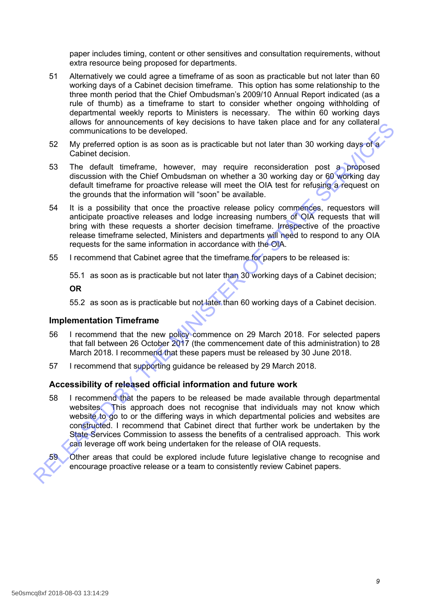paper includes timing, content or other sensitives and consultation requirements, without extra resource being proposed for departments.

- 51 Alternatively we could agree a timeframe of as soon as practicable but not later than 60 working days of a Cabinet decision timeframe. This option has some relationship to the three month period that the Chief Ombudsman's 2009/10 Annual Report indicated (as a rule of thumb) as a timeframe to start to consider whether ongoing withholding of departmental weekly reports to Ministers is necessary. The within 60 working days allows for announcements of key decisions to have taken place and for any collateral communications to be developed.
- 52 My preferred option is as soon as is practicable but not later than 30 working days of a Cabinet decision.
- 53 The default timeframe, however, may require reconsideration post a proposed discussion with the Chief Ombudsman on whether a 30 working day or 60 working day default timeframe for proactive release will meet the OIA test for refusing a request on the grounds that the information will "soon" be available.
- 54 It is a possibility that once the proactive release policy commences, requestors will anticipate proactive releases and lodge increasing numbers of OIA requests that will bring with these requests a shorter decision timeframe. Irrespective of the proactive release timeframe selected, Ministers and departments will need to respond to any OIA requests for the same information in accordance with the OIA.
- 55 I recommend that Cabinet agree that the timeframe for papers to be released is:

55.1 as soon as is practicable but not later than 30 working days of a Cabinet decision;

**OR**

55.2 as soon as is practicable but not later than 60 working days of a Cabinet decision.

### **Implementation Timeframe**

- 56 I recommend that the new policy commence on 29 March 2018. For selected papers that fall between 26 October 2017 (the commencement date of this administration) to 28 March 2018. I recommend that these papers must be released by 30 June 2018.
- 57 I recommend that supporting guidance be released by 29 March 2018.

### **Accessibility of released official information and future work**

58 I recommend that the papers to be released be made available through departmental websites. This approach does not recognise that individuals may not know which website to go to or the differing ways in which departmental policies and websites are constructed. I recommend that Cabinet direct that further work be undertaken by the State Services Commission to assess the benefits of a centralised approach. This work can leverage off work being undertaken for the release of OIA requests. almos to an includent man, however, may consider the detection of the complete and of any constrained communications to be developed.<br>
Cabinet decision is as soon as is practicable but not later than 30 working days of Cab



Other areas that could be explored include future legislative change to recognise and encourage proactive release or a team to consistently review Cabinet papers.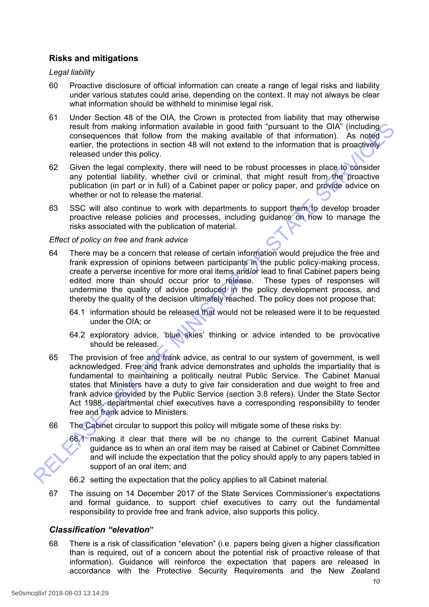# **Risks and mitigations**

### *Legal liability*

- 60 Proactive disclosure of official information can create a range of legal risks and liability under various statutes could arise, depending on the context. It may not always be clear what information should be withheld to minimise legal risk.
- 61 Under Section 48 of the OIA, the Crown is protected from liability that may otherwise result from making information available in good faith "pursuant to the OIA" (including consequences that follow from the making available of that information). As noted earlier, the protections in section 48 will not extend to the information that is proactively released under this policy.
- 62 Given the legal complexity, there will need to be robust processes in place to consider any potential liability, whether civil or criminal, that might result from the proactive publication (in part or in full) of a Cabinet paper or policy paper, and provide advice on whether or not to release the material.
- 63 SSC will also continue to work with departments to support them to develop broader proactive release policies and processes, including guidance on how to manage the risks associated with the publication of material.

### *Effect of policy on free and frank advice*

- 64 There may be a concern that release of certain information would prejudice the free and frank expression of opinions between participants in the public policy-making process, create a perverse incentive for more oral items and/or lead to final Cabinet papers being edited more than should occur prior to release. These types of responses will undermine the quality of advice produced in the policy development process, and thereby the quality of the decision ultimately reached. The policy does not propose that:
	- 64.1 information should be released that would not be released were it to be requested under the OIA; or
	- 64.2 exploratory advice, 'blue skies' thinking or advice intended to be provocative should be released.
- 65 The provision of free and frank advice, as central to our system of government, is well acknowledged. Free and frank advice demonstrates and upholds the impartiality that is fundamental to maintaining a politically neutral Public Service. The Cabinet Manual states that Ministers have a duty to give fair consideration and due weight to free and frank advice provided by the Public Service (section 3.8 refers). Under the State Sector Act 1988, departmental chief executives have a corresponding responsibility to tender free and frank advice to Ministers. result from making information available in good faith "pursuant to the OAK" (including<br>equences that follow from the making available of that information). As noted<br>earlier, the protections in section 48 will not extend t
	- 66 The Cabinet circular to support this policy will mitigate some of these risks by:
		- 66.1 making it clear that there will be no change to the current Cabinet Manual guidance as to when an oral item may be raised at Cabinet or Cabinet Committee and will include the expectation that the policy should apply to any papers tabled in support of an oral item; and
		- 66.2 setting the expectation that the policy applies to all Cabinet material.
	- 67 The issuing on 14 December 2017 of the State Services Commissioner's expectations and formal guidance, to support chief executives to carry out the fundamental responsibility to provide free and frank advice, also supports this policy.

### *Classification "elevation***"**

68 There is a risk of classification "elevation" (i.e. papers being given a higher classification than is required, out of a concern about the potential risk of proactive release of that information). Guidance will reinforce the expectation that papers are released in accordance with the Protective Security Requirements and the New Zealand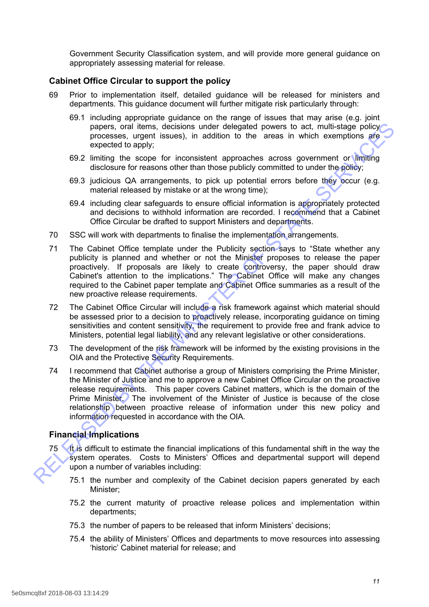Government Security Classification system, and will provide more general guidance on appropriately assessing material for release.

## **Cabinet Office Circular to support the policy**

- 69 Prior to implementation itself, detailed guidance will be released for ministers and departments. This guidance document will further mitigate risk particularly through:
	- 69.1 including appropriate guidance on the range of issues that may arise (e.g. joint papers, oral items, decisions under delegated powers to act, multi-stage policy processes, urgent issues), in addition to the areas in which exemptions are expected to apply;
	- 69.2 limiting the scope for inconsistent approaches across government or limiting disclosure for reasons other than those publicly committed to under the policy;
	- 69.3 judicious QA arrangements, to pick up potential errors before they occur (e.g. material released by mistake or at the wrong time);
	- 69.4 including clear safeguards to ensure official information is appropriately protected and decisions to withhold information are recorded. I recommend that a Cabinet Office Circular be drafted to support Ministers and departments.
- 70 SSC will work with departments to finalise the implementation arrangements.
- 71 The Cabinet Office template under the Publicity section says to "State whether any publicity is planned and whether or not the Minister proposes to release the paper proactively. If proposals are likely to create controversy, the paper should draw Cabinet's attention to the implications." The Cabinet Office will make any changes required to the Cabinet paper template and Cabinet Office summaries as a result of the new proactive release requirements.
- 72 The Cabinet Office Circular will include a risk framework against which material should be assessed prior to a decision to proactively release, incorporating guidance on timing sensitivities and content sensitivity, the requirement to provide free and frank advice to Ministers, potential legal liability, and any relevant legislative or other considerations.
- 73 The development of the risk framework will be informed by the existing provisions in the OIA and the Protective Security Requirements.
- 74 I recommend that Cabinet authorise a group of Ministers comprising the Prime Minister, the Minister of Justice and me to approve a new Cabinet Office Circular on the proactive release requirements. This paper covers Cabinet matters, which is the domain of the Prime Minister. The involvement of the Minister of Justice is because of the close relationship between proactive release of information under this new policy and information requested in accordance with the OIA. papers, orientens, decisions under delegated powers to act, multi-stape points<br>processes, urgent issues), in addition to the areas in which exemptions are<br>expected to apply:<br>expected to apply for the comparement of the sym

# **Financial Implications**

- 75 It is difficult to estimate the financial implications of this fundamental shift in the way the system operates. Costs to Ministers' Offices and departmental support will depend upon a number of variables including:
	- 75.1 the number and complexity of the Cabinet decision papers generated by each Minister;
	- 75.2 the current maturity of proactive release polices and implementation within departments;
	- 75.3 the number of papers to be released that inform Ministers' decisions;
	- 75.4 the ability of Ministers' Offices and departments to move resources into assessing 'historic' Cabinet material for release; and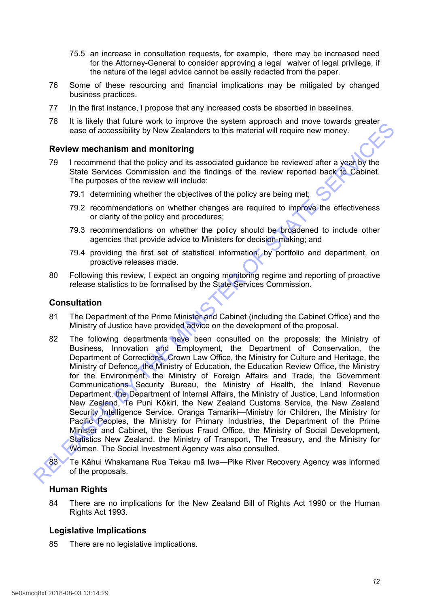- 75.5 an increase in consultation requests, for example, there may be increased need for the Attorney-General to consider approving a legal waiver of legal privilege, if the nature of the legal advice cannot be easily redacted from the paper.
- 76 Some of these resourcing and financial implications may be mitigated by changed business practices.
- 77 In the first instance, I propose that any increased costs be absorbed in baselines.
- 78 It is likely that future work to improve the system approach and move towards greater ease of accessibility by New Zealanders to this material will require new money.

### **Review mechanism and monitoring**

- 79 I recommend that the policy and its associated guidance be reviewed after a year by the State Services Commission and the findings of the review reported back to Cabinet. The purposes of the review will include:
	- 79.1 determining whether the objectives of the policy are being met;
	- 79.2 recommendations on whether changes are required to improve the effectiveness or clarity of the policy and procedures;
	- 79.3 recommendations on whether the policy should be broadened to include other agencies that provide advice to Ministers for decision-making; and
	- 79.4 providing the first set of statistical information, by portfolio and department, on proactive releases made.
- 80 Following this review, I expect an ongoing monitoring regime and reporting of proactive release statistics to be formalised by the State Services Commission.

### **Consultation**

- 81 The Department of the Prime Minister and Cabinet (including the Cabinet Office) and the Ministry of Justice have provided advice on the development of the proposal.
- 82 The following departments have been consulted on the proposals: the Ministry of Business, Innovation and Employment, the Department of Conservation, the Department of Corrections, Crown Law Office, the Ministry for Culture and Heritage, the Ministry of Defence, the Ministry of Education, the Education Review Office, the Ministry for the Environment, the Ministry of Foreign Affairs and Trade, the Government Communications Security Bureau, the Ministry of Health, the Inland Revenue Department, the Department of Internal Affairs, the Ministry of Justice, Land Information New Zealand, Te Puni Kōkiri, the New Zealand Customs Service, the New Zealand Security Intelligence Service, Oranga Tamariki—Ministry for Children, the Ministry for Pacific Peoples, the Ministry for Primary Industries, the Department of the Prime Minister and Cabinet, the Serious Fraud Office, the Ministry of Social Development, Statistics New Zealand, the Ministry of Transport, The Treasury, and the Ministry for Women. The Social Investment Agency was also consulted. To a reach unit with the model with the system application in line to what the profile of the profile of the profile of the profile of the profile of the profile state of the profile state of the profile state of the profi

83<sup>7</sup> Te Kāhui Whakamana Rua Tekau mā Iwa—Pike River Recovery Agency was informed of the proposals.

### **Human Rights**

84 There are no implications for the New Zealand Bill of Rights Act 1990 or the Human Rights Act 1993.

### **Legislative Implications**

85 There are no legislative implications.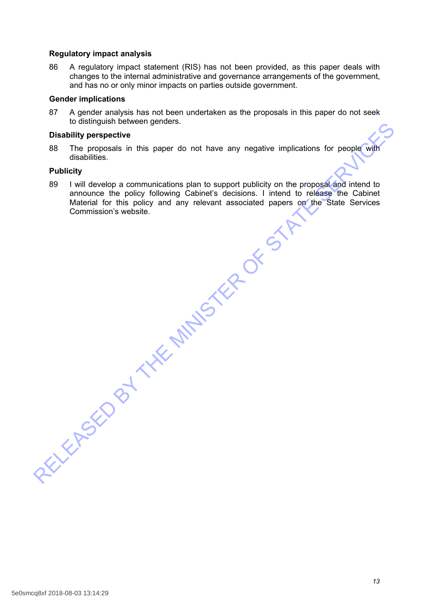### **Regulatory impact analysis**

86 A regulatory impact statement (RIS) has not been provided, as this paper deals with changes to the internal administrative and governance arrangements of the government, and has no or only minor impacts on parties outside government.

### **Gender implications**

87 A gender analysis has not been undertaken as the proposals in this paper do not seek to distinguish between genders.

#### **Disability perspective**

88 The proposals in this paper do not have any negative implications for people with disabilities.

### **Publicity**

89 I will develop a communications plan to support publicity on the proposal and intend to announce the policy following Cabinet's decisions. I intend to release the Cabinet Material for this policy and any relevant associated papers on the State Services Commission's website. Distability perspective<br>
Distability perspective<br>
RELEASED The proposals in this paper do not have any negative implications for people with<br>
Publicity<br>
By i will develop a communications plan to support publicity on the p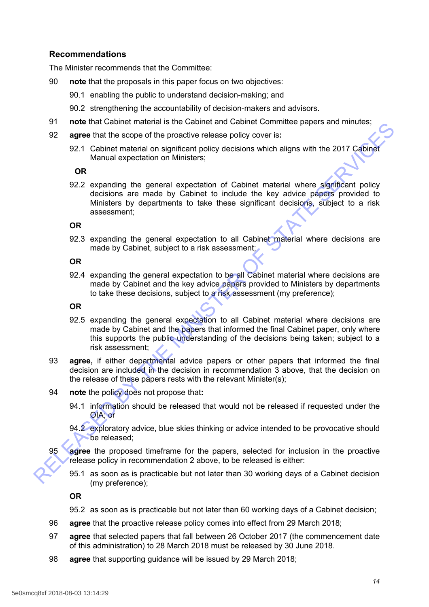# **Recommendations**

The Minister recommends that the Committee:

- 90 **note** that the proposals in this paper focus on two objectives:
	- 90.1 enabling the public to understand decision-making; and
	- 90.2 strengthening the accountability of decision-makers and advisors.
- 91 **note** that Cabinet material is the Cabinet and Cabinet Committee papers and minutes;
- 92 **agree** that the scope of the proactive release policy cover is**:**
	- 92.1 Cabinet material on significant policy decisions which aligns with the 2017 Cabinet Manual expectation on Ministers;

#### **OR**

92.2 expanding the general expectation of Cabinet material where significant policy decisions are made by Cabinet to include the key advice papers provided to Ministers by departments to take these significant decisions, subject to a risk assessment; in the transition is the Cauther and the transition and counter the reaction in the product the scope of the proactive release policy cycer is:<br>
92. a capture that the scope of the proactive release policy cycer is:<br>
92.1

### **OR**

92.3 expanding the general expectation to all Cabinet material where decisions are made by Cabinet, subject to a risk assessment;

#### **OR**

92.4 expanding the general expectation to be all Cabinet material where decisions are made by Cabinet and the key advice papers provided to Ministers by departments to take these decisions, subject to a risk assessment (my preference);

#### **OR**

- 92.5 expanding the general expectation to all Cabinet material where decisions are made by Cabinet and the papers that informed the final Cabinet paper, only where this supports the public understanding of the decisions being taken; subject to a risk assessment;
- 93 **agree,** if either departmental advice papers or other papers that informed the final decision are included in the decision in recommendation 3 above, that the decision on the release of these papers rests with the relevant Minister(s);
- 94 **note** the policy does not propose that**:**
	- 94.1 information should be released that would not be released if requested under the OIA; or
	- 94.2 exploratory advice, blue skies thinking or advice intended to be provocative should be released;
- 95 **agree** the proposed timeframe for the papers, selected for inclusion in the proactive release policy in recommendation 2 above, to be released is either:
	- 95.1 as soon as is practicable but not later than 30 working days of a Cabinet decision (my preference);

**OR**

- 95.2 as soon as is practicable but not later than 60 working days of a Cabinet decision;
- 96 **agree** that the proactive release policy comes into effect from 29 March 2018;
- 97 **agree** that selected papers that fall between 26 October 2017 (the commencement date of this administration) to 28 March 2018 must be released by 30 June 2018.
- 98 **agree** that supporting guidance will be issued by 29 March 2018;